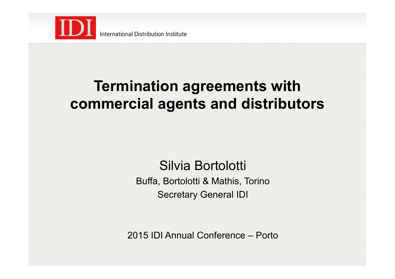

### **Termination agreements with commercial agents and distributors**

Silvia Bortolotti Buffa, Bortolotti & Mathis, Torino Secretary General IDI

2015 IDI Annual Conference – Porto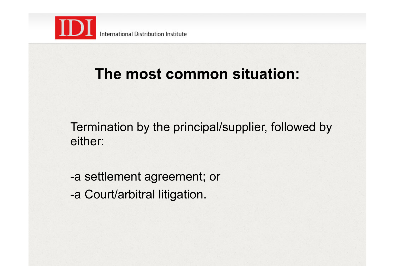

### **The most common situation:**

Termination by the principal/supplier, followed by either:

-a settlement agreement; or -a Court/arbitral litigation.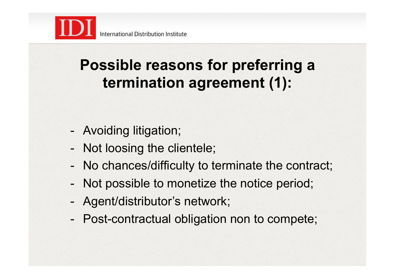

# **Possible reasons for preferring a termination agreement (1):**

- Avoiding litigation;
- Not loosing the clientele;
- No chances/difficulty to terminate the contract;
- Not possible to monetize the notice period;
- Agent/distributor's network;
- Post-contractual obligation non to compete;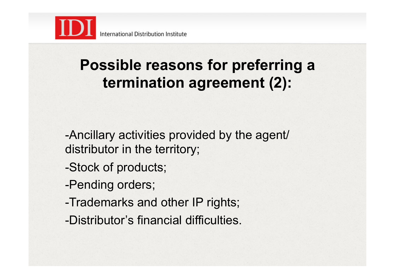

# **Possible reasons for preferring a termination agreement (2):**

-Ancillary activities provided by the agent/ distributor in the territory;

- -Stock of products;
- -Pending orders;
- -Trademarks and other IP rights;
- -Distributor's financial difficulties.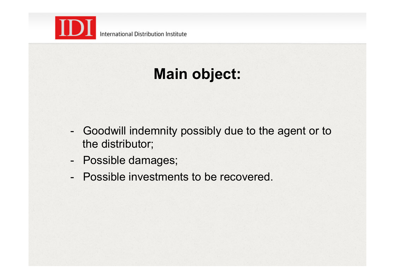

# **Main object:**

- Goodwill indemnity possibly due to the agent or to the distributor;
- Possible damages;
- Possible investments to be recovered.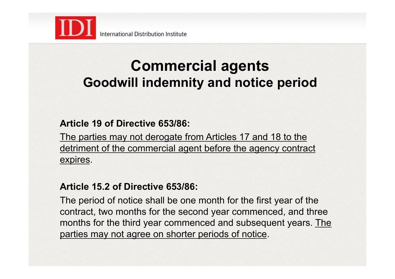

#### **Commercial agents Goodwill indemnity and notice period**

#### **Article 19 of Directive 653/86:**

The parties may not derogate from Articles 17 and 18 to the detriment of the commercial agent before the agency contract expires.

#### **Article 15.2 of Directive 653/86:**

The period of notice shall be one month for the first year of the contract, two months for the second year commenced, and three months for the third year commenced and subsequent years. The parties may not agree on shorter periods of notice.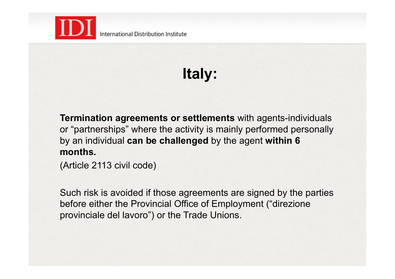

# **Italy:**

**Termination agreements or settlements** with agents-individuals or "partnerships" where the activity is mainly performed personally by an individual **can be challenged** by the agent **within 6 months.** 

(Article 2113 civil code)

Such risk is avoided if those agreements are signed by the parties before either the Provincial Office of Employment ("direzione provinciale del lavoro") or the Trade Unions.